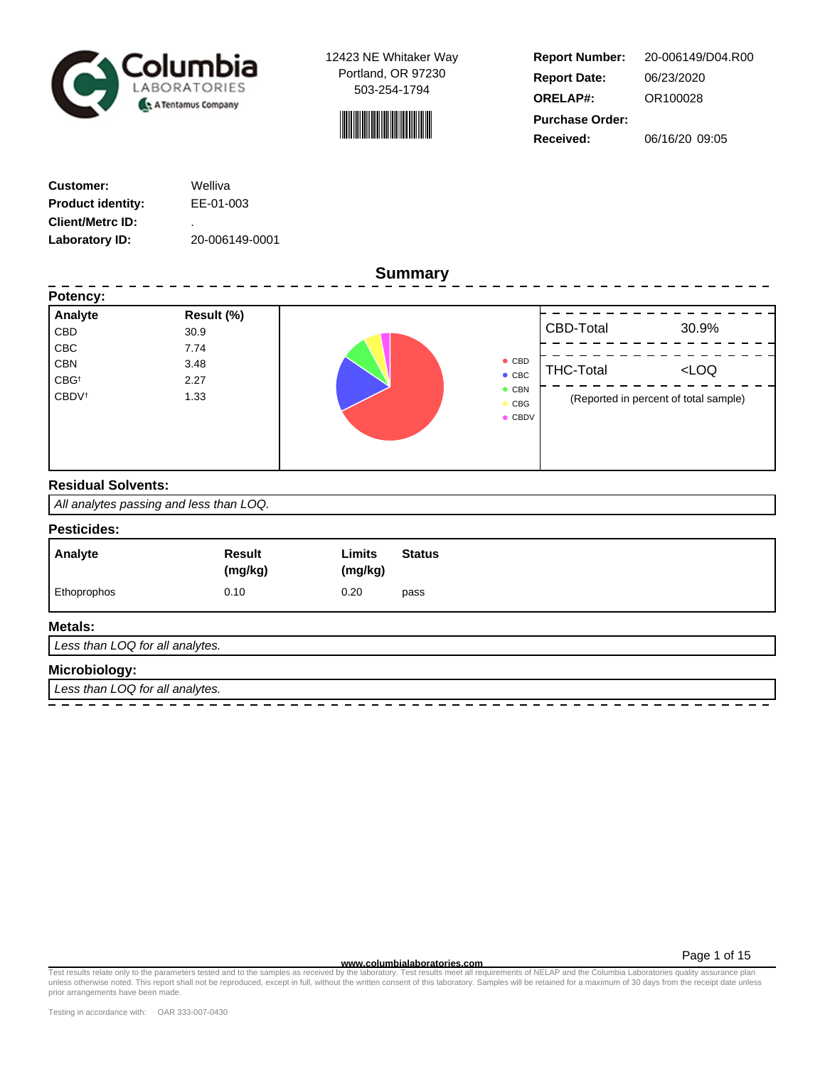



**Report Number: Report Date: ORELAP#:** 06/23/2020 OR100028 **Received:** 06/16/20 09:05 **Purchase Order:** 20-006149/D04.R00

| <b>Customer:</b>         | Welliva        |
|--------------------------|----------------|
| <b>Product identity:</b> | EE-01-003      |
| <b>Client/Metrc ID:</b>  | ٠              |
| Laboratory ID:           | 20-006149-0001 |

**Summary**

| Potency:<br>Analyte      | Result (%) |                             |                  |                                       |
|--------------------------|------------|-----------------------------|------------------|---------------------------------------|
| CBD                      | 30.9       |                             | CBD-Total        | 30.9%                                 |
| <b>CBC</b>               | 7.74       |                             |                  |                                       |
| <b>CBN</b>               | 3.48       | $\bullet$ CBD               | <b>THC-Total</b> | LOO                                   |
| CBG <sup>+</sup>         | 2.27       | $\bullet$ CBC               |                  |                                       |
| <b>CBDV</b> <sup>t</sup> | 1.33       | $\bullet$ CBN<br><b>CBG</b> |                  | (Reported in percent of total sample) |
|                          |            | $\bullet$ CBDV              |                  |                                       |
|                          |            |                             |                  |                                       |
|                          |            |                             |                  |                                       |
|                          |            |                             |                  |                                       |

## **Residual Solvents:**

All analytes passing and less than LOQ.

### **Pesticides:**

| Analyte     | <b>Result</b><br>(mg/kg) | Limits<br><b>Status</b><br>(mg/kg) |
|-------------|--------------------------|------------------------------------|
| Ethoprophos | 0.10                     | 0.20<br>pass                       |

## **Metals:**

Less than LOQ for all analytes.

# **Microbiology:**

Less than LOQ for all analytes.

**www.columbialaboratories.com** Test results relate only to the parameters tested and to the samples as received by the laboratory. Test results meet all requirements of NELAP and the Columbia Laboratories quality assurance plan unless otherwise noted. This report shall not be reproduced, except in full, without the written consent of this laboratory. Samples will be retained for a maximum of 30 days from the receipt date unless prior arrangements have been made.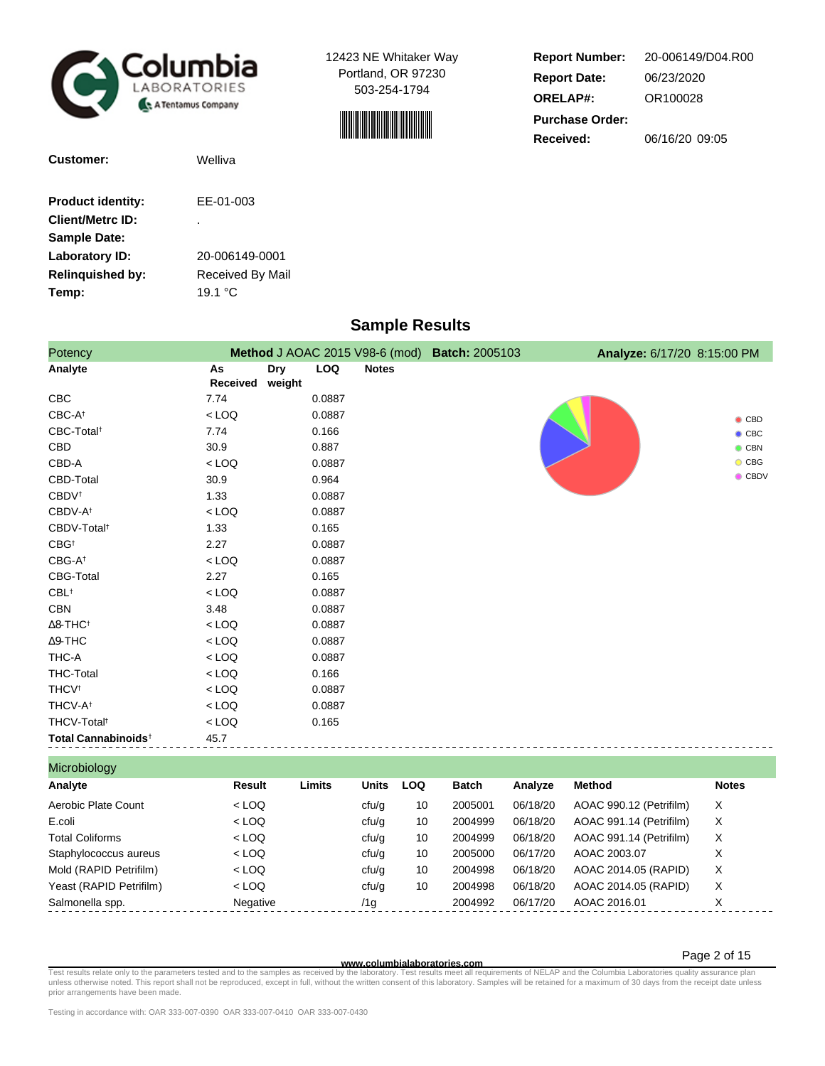



**Report Number: Report Date: ORELAP#:** 06/23/2020 OR100028 **Received:** 06/16/20 09:05 **Purchase Order:** 20-006149/D04.R00

| Customer:                | Welliva          |
|--------------------------|------------------|
| <b>Product identity:</b> | EE-01-003        |
| <b>Client/Metrc ID:</b>  | ٠                |
| <b>Sample Date:</b>      |                  |
| Laboratory ID:           | 20-006149-0001   |
| <b>Relinguished by:</b>  | Received By Mail |
| Temp:                    | 19.1 $\degree$ C |

# **Sample Results**

| Potency                         |                |               |            |              | Method J AOAC 2015 V98-6 (mod) Batch: 2005103 | Analyze: 6/17/20 8:15:00 PM |
|---------------------------------|----------------|---------------|------------|--------------|-----------------------------------------------|-----------------------------|
| Analyte                         | As<br>Received | Dry<br>weight | <b>LOQ</b> | <b>Notes</b> |                                               |                             |
| <b>CBC</b>                      | 7.74           |               | 0.0887     |              |                                               |                             |
| $CBC-A^{\dagger}$               | $<$ LOQ        |               | 0.0887     |              |                                               | $\bullet$ CBD               |
| CBC-Total <sup>t</sup>          | 7.74           |               | 0.166      |              |                                               | $\bullet$ CBC               |
| CBD                             | 30.9           |               | 0.887      |              |                                               | $\bullet$ CBN               |
| CBD-A                           | $<$ LOQ        |               | 0.0887     |              |                                               | $\bullet$ CBG               |
| CBD-Total                       | 30.9           |               | 0.964      |              |                                               | $\bullet$ CBDV              |
| CBDV <sup>t</sup>               | 1.33           |               | 0.0887     |              |                                               |                             |
| CBDV-A <sup>t</sup>             | $<$ LOQ        |               | 0.0887     |              |                                               |                             |
| CBDV-Total <sup>t</sup>         | 1.33           |               | 0.165      |              |                                               |                             |
| $CBG^{\dagger}$                 | 2.27           |               | 0.0887     |              |                                               |                             |
| $CBG-A^{\dagger}$               | $<$ LOQ        |               | 0.0887     |              |                                               |                             |
| CBG-Total                       | 2.27           |               | 0.165      |              |                                               |                             |
| $CBL^{\dagger}$                 | $<$ LOQ        |               | 0.0887     |              |                                               |                             |
| CBN                             | 3.48           |               | 0.0887     |              |                                               |                             |
| $\Delta$ 8-THC <sup>+</sup>     | $<$ LOQ        |               | 0.0887     |              |                                               |                             |
| $\Delta$ 9-THC                  | $<$ LOQ        |               | 0.0887     |              |                                               |                             |
| THC-A                           | $<$ LOQ        |               | 0.0887     |              |                                               |                             |
| <b>THC-Total</b>                | $<$ LOQ        |               | 0.166      |              |                                               |                             |
| <b>THCV<sup>t</sup></b>         | $<$ LOQ        |               | 0.0887     |              |                                               |                             |
| THCV-A <sup>t</sup>             | $<$ LOQ        |               | 0.0887     |              |                                               |                             |
| THCV-Total <sup>t</sup>         | $<$ LOQ        |               | 0.165      |              |                                               |                             |
| Total Cannabinoids <sup>+</sup> | 45.7           |               |            |              |                                               |                             |

Microbiology **Analyte Result Limits Units LOQ Batch Analyze Method Notes** Aerobic Plate Count  $\langle$  LOQ cfu/g 10 2005001 06/18/20 AOAC 990.12 (Petrifilm) X E.coli < LOQ cfu/g 10 2004999 06/18/20 AOAC 991.14 (Petrifilm) X Total Coliforms **Coliforms**  $\langle$  LOQ cfu/g 10 2004999 06/18/20 AOAC 991.14 (Petrifilm) X Staphylococcus aureus < LOQ cfu/g 10 2005000 06/17/20 AOAC 2003.07 X Mold (RAPID Petrifilm) < LOQ cfu/g 10 2004998 06/18/20 AOAC 2014.05 (RAPID) X Yeast (RAPID Petrifilm) < LOQ cfu/g 10 2004998 06/18/20 AOAC 2014.05 (RAPID) X Salmonella spp. Negative /1g 2004992 06/17/20 AOAC 2016.01 X

Page 2 of 15

— et al. and the parameters tested and to the samples as received www.columbialaboratories.com<br>Test requirements of NELAP and the Columbia Laboratory on the Higheral only the laboratory. Test results meet all requirements prior arrangements have been made.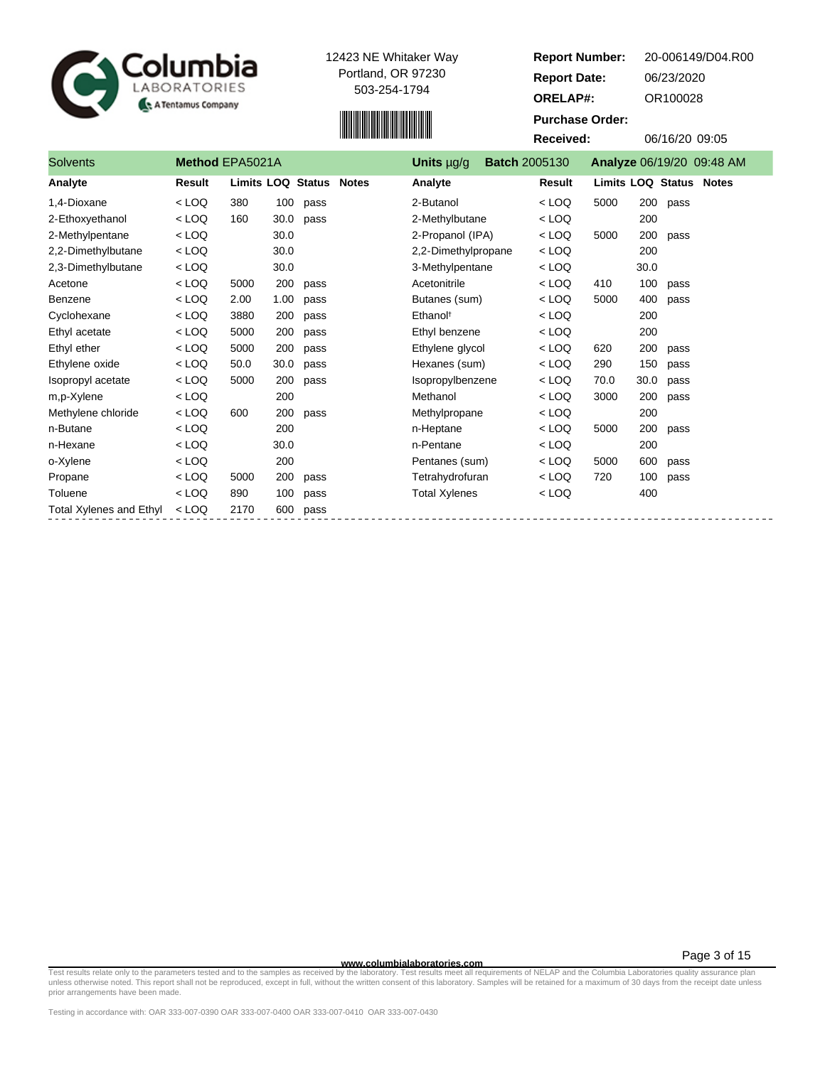

Total Xylenes and Ethyl < LOQ 2170 600 pass



2-Methylpentane < LOQ 30.0 2-Propanol (IPA) < LOQ 5000 200 pass 2,2-Dimethylbutane < LOQ 30.0 2,2-Dimethylpropane < LOQ 200

|                 | <b>،Columbia</b><br>LABORATORIES<br>A Tentamus Company |     |      |                         | 12423 NE Whitaker Way<br>Portland, OR 97230<br>503-254-1794 |                 |                      | <b>Report Number:</b><br><b>Report Date:</b><br><b>ORELAP#:</b><br><b>Purchase Order:</b><br>Received: |      | 06/23/2020<br>OR100028<br>06/16/20 09:05 | 20-006149/D04.R00 |
|-----------------|--------------------------------------------------------|-----|------|-------------------------|-------------------------------------------------------------|-----------------|----------------------|--------------------------------------------------------------------------------------------------------|------|------------------------------------------|-------------------|
| <b>Solvents</b> | Method EPA5021A                                        |     |      |                         |                                                             | Units $\mu$ g/g | <b>Batch 2005130</b> |                                                                                                        |      | Analyze 06/19/20 09:48 AM                |                   |
| Analyte         | Result                                                 |     |      | Limits LOQ Status Notes |                                                             | Analyte         |                      | Result                                                                                                 |      | <b>Limits LOQ Status Notes</b>           |                   |
| 1,4-Dioxane     | $<$ LOQ                                                | 380 | 100  | pass                    |                                                             | 2-Butanol       |                      | $<$ LOQ                                                                                                | 5000 | 200<br>pass                              |                   |
| 2-Ethoxyethanol | $<$ LOQ                                                | 160 | 30.0 | pass                    |                                                             | 2-Methylbutane  |                      | $<$ LOQ                                                                                                |      | 200                                      |                   |

| 2,3-Dimethylbutane | $<$ LOQ |      | 30.0 |      | 3-Methylpentane      | $<$ LOQ |      | 30.0 |      |
|--------------------|---------|------|------|------|----------------------|---------|------|------|------|
| Acetone            | $<$ LOQ | 5000 | 200  | pass | Acetonitrile         | $<$ LOQ | 410  | 100  | pass |
| Benzene            | $<$ LOQ | 2.00 | 1.00 | pass | Butanes (sum)        | $<$ LOQ | 5000 | 400  | pass |
| Cyclohexane        | $<$ LOQ | 3880 | 200  | pass | Ethanol <sup>†</sup> | $<$ LOQ |      | 200  |      |
| Ethyl acetate      | $<$ LOQ | 5000 | 200  | pass | Ethyl benzene        | $<$ LOQ |      | 200  |      |
| Ethyl ether        | $<$ LOQ | 5000 | 200  | pass | Ethylene glycol      | $<$ LOQ | 620  | 200  | pass |
| Ethylene oxide     | $<$ LOQ | 50.0 | 30.0 | pass | Hexanes (sum)        | $<$ LOQ | 290  | 150  | pass |
| Isopropyl acetate  | $<$ LOQ | 5000 | 200  | pass | Isopropylbenzene     | $<$ LOQ | 70.0 | 30.0 | pass |
| m.p-Xylene         | $<$ LOQ |      | 200  |      | Methanol             | $<$ LOQ | 3000 | 200  | pass |
| Methylene chloride | $<$ LOQ | 600  | 200  | pass | Methylpropane        | $<$ LOQ |      | 200  |      |
| n-Butane           | $<$ LOQ |      | 200  |      | n-Heptane            | $<$ LOQ | 5000 | 200  | pass |
| n-Hexane           | $<$ LOQ |      | 30.0 |      | n-Pentane            | $<$ LOQ |      | 200  |      |
| o-Xylene           | $<$ LOQ |      | 200  |      | Pentanes (sum)       | $<$ LOQ | 5000 | 600  | pass |
| Propane            | $<$ LOQ | 5000 | 200  | pass | Tetrahydrofuran      | $<$ LOQ | 720  | 100  | pass |
| Toluene            | $<$ LOQ | 890  | 100  | pass | <b>Total Xylenes</b> | $<$ LOQ |      | 400  |      |
|                    |         |      |      |      |                      |         |      |      |      |

— Test results relate only to the parameters tested and to the samples as receive**d www.columbialaboratories.com**<br>The languar mequirements of NELAP and the Columbia Laboratory of the Mitter consent of this laboratory. Sam prior arrangements have been made.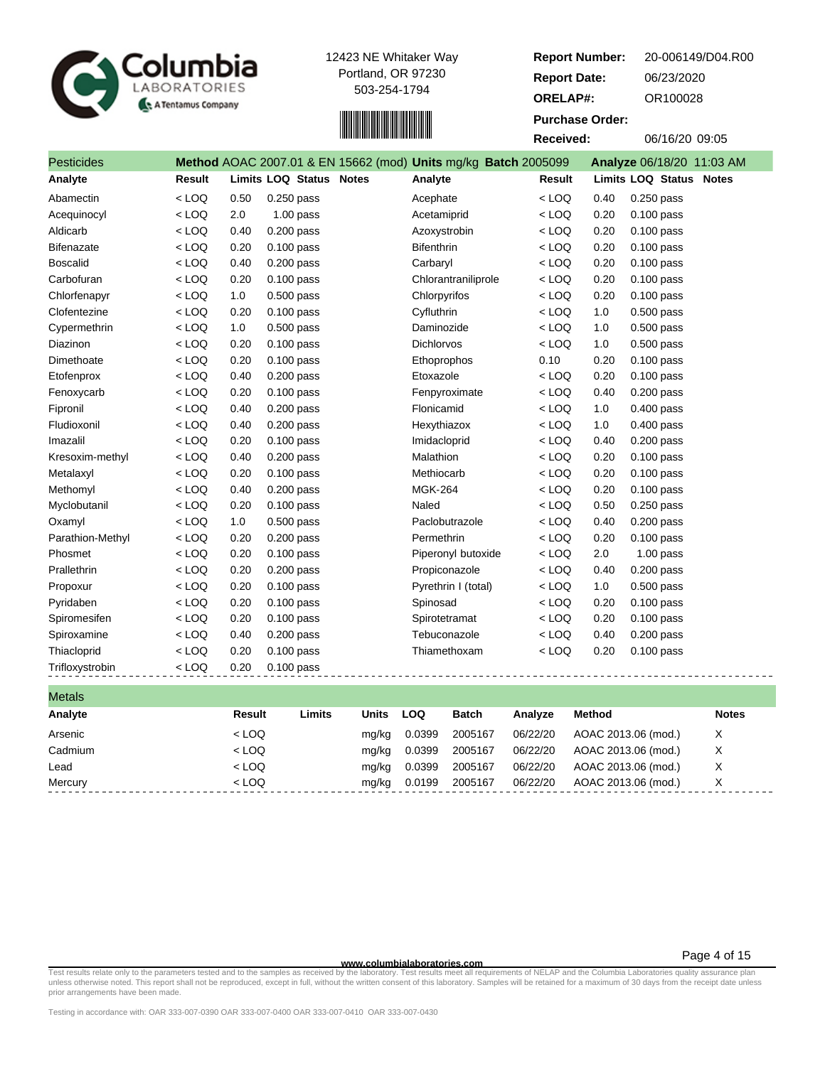



| <b>Report Number:</b>  | 20-006149/D04.R00 |
|------------------------|-------------------|
| <b>Report Date:</b>    | 06/23/2020        |
| <b>ORELAP#:</b>        | OR100028          |
| <b>Purchase Order:</b> |                   |
| Received:              | 06/16/20 09:05    |
|                        |                   |

| <b>Pesticides</b> |         |      |                                | Method AOAC 2007.01 & EN 15662 (mod) Units mg/kg Batch 2005099 |               |      | Analyze 06/18/20 11:03 AM      |
|-------------------|---------|------|--------------------------------|----------------------------------------------------------------|---------------|------|--------------------------------|
| Analyte           | Result  |      | <b>Limits LOQ Status Notes</b> | Analyte                                                        | <b>Result</b> |      | <b>Limits LOQ Status Notes</b> |
| Abamectin         | $<$ LOQ | 0.50 | $0.250$ pass                   | Acephate                                                       | $<$ LOQ       | 0.40 | $0.250$ pass                   |
| Acequinocyl       | $<$ LOQ | 2.0  | $1.00$ pass                    | Acetamiprid                                                    | $<$ LOQ       | 0.20 | $0.100$ pass                   |
| Aldicarb          | $<$ LOQ | 0.40 | 0.200 pass                     | Azoxystrobin                                                   | $<$ LOQ       | 0.20 | $0.100$ pass                   |
| <b>Bifenazate</b> | $<$ LOQ | 0.20 | $0.100$ pass                   | <b>Bifenthrin</b>                                              | $<$ LOQ       | 0.20 | $0.100$ pass                   |
| <b>Boscalid</b>   | $<$ LOQ | 0.40 | 0.200 pass                     | Carbaryl                                                       | $<$ LOQ       | 0.20 | $0.100$ pass                   |
| Carbofuran        | $<$ LOQ | 0.20 | 0.100 pass                     | Chlorantraniliprole                                            | $<$ LOQ       | 0.20 | 0.100 pass                     |
| Chlorfenapyr      | $<$ LOQ | 1.0  | $0.500$ pass                   | Chlorpyrifos                                                   | $<$ LOQ       | 0.20 | $0.100$ pass                   |
| Clofentezine      | $<$ LOQ | 0.20 | $0.100$ pass                   | Cyfluthrin                                                     | $<$ LOQ       | 1.0  | $0.500$ pass                   |
| Cypermethrin      | $<$ LOQ | 1.0  | 0.500 pass                     | Daminozide                                                     | $<$ LOQ       | 1.0  | 0.500 pass                     |
| <b>Diazinon</b>   | $<$ LOQ | 0.20 | $0.100$ pass                   | <b>Dichlorvos</b>                                              | $<$ LOQ       | 1.0  | $0.500$ pass                   |
| Dimethoate        | $<$ LOQ | 0.20 | 0.100 pass                     | Ethoprophos                                                    | 0.10          | 0.20 | $0.100$ pass                   |
| Etofenprox        | $<$ LOQ | 0.40 | $0.200$ pass                   | Etoxazole                                                      | $<$ LOQ       | 0.20 | $0.100$ pass                   |
| Fenoxycarb        | $<$ LOQ | 0.20 | $0.100$ pass                   | Fenpyroximate                                                  | $<$ LOQ       | 0.40 | $0.200$ pass                   |
| Fipronil          | $<$ LOQ | 0.40 | $0.200$ pass                   | Flonicamid                                                     | $<$ LOQ       | 1.0  | $0.400$ pass                   |
| Fludioxonil       | $<$ LOQ | 0.40 | $0.200$ pass                   | Hexythiazox                                                    | $<$ LOQ       | 1.0  | 0.400 pass                     |
| Imazalil          | $<$ LOQ | 0.20 | $0.100$ pass                   | Imidacloprid                                                   | $<$ LOQ       | 0.40 | $0.200$ pass                   |
| Kresoxim-methyl   | $<$ LOQ | 0.40 | 0.200 pass                     | Malathion                                                      | $<$ LOQ       | 0.20 | $0.100$ pass                   |
| Metalaxyl         | $<$ LOQ | 0.20 | $0.100$ pass                   | Methiocarb                                                     | $<$ LOQ       | 0.20 | $0.100$ pass                   |
| Methomyl          | $<$ LOQ | 0.40 | $0.200$ pass                   | <b>MGK-264</b>                                                 | $<$ LOQ       | 0.20 | $0.100$ pass                   |
| Myclobutanil      | $<$ LOQ | 0.20 | $0.100$ pass                   | Naled                                                          | $<$ LOQ       | 0.50 | $0.250$ pass                   |
| Oxamyl            | $<$ LOQ | 1.0  | $0.500$ pass                   | Paclobutrazole                                                 | $<$ LOQ       | 0.40 | $0.200$ pass                   |
| Parathion-Methyl  | $<$ LOQ | 0.20 | $0.200$ pass                   | Permethrin                                                     | $<$ LOQ       | 0.20 | 0.100 pass                     |
| Phosmet           | $<$ LOQ | 0.20 | $0.100$ pass                   | Piperonyl butoxide                                             | $<$ LOQ       | 2.0  | $1.00$ pass                    |
| Prallethrin       | $<$ LOQ | 0.20 | $0.200$ pass                   | Propiconazole                                                  | $<$ LOQ       | 0.40 | $0.200$ pass                   |
| Propoxur          | $<$ LOQ | 0.20 | $0.100$ pass                   | Pyrethrin I (total)                                            | $<$ LOQ       | 1.0  | $0.500$ pass                   |
| Pyridaben         | $<$ LOQ | 0.20 | $0.100$ pass                   | Spinosad                                                       | $<$ LOQ       | 0.20 | 0.100 pass                     |
| Spiromesifen      | $<$ LOQ | 0.20 | 0.100 pass                     | Spirotetramat                                                  | $<$ LOQ       | 0.20 | $0.100$ pass                   |
| Spiroxamine       | $<$ LOQ | 0.40 | $0.200$ pass                   | Tebuconazole                                                   | $<$ LOQ       | 0.40 | $0.200$ pass                   |
| Thiacloprid       | $<$ LOQ | 0.20 | $0.100$ pass                   | Thiamethoxam                                                   | $<$ LOQ       | 0.20 | $0.100$ pass                   |
| Trifloxystrobin   | $<$ LOQ | 0.20 | $0.100$ pass                   |                                                                |               |      |                                |

| <b>Notes</b> |
|--------------|
| Х            |
| X            |
| Χ            |
| Χ            |
|              |

**WWW.columbialaboratories.com**<br>unless otherwise noted. This report shall not be reproduced, except in full, without the written consent of this laboratory. Test results meet all requirements of NELAP and the Columbia Labor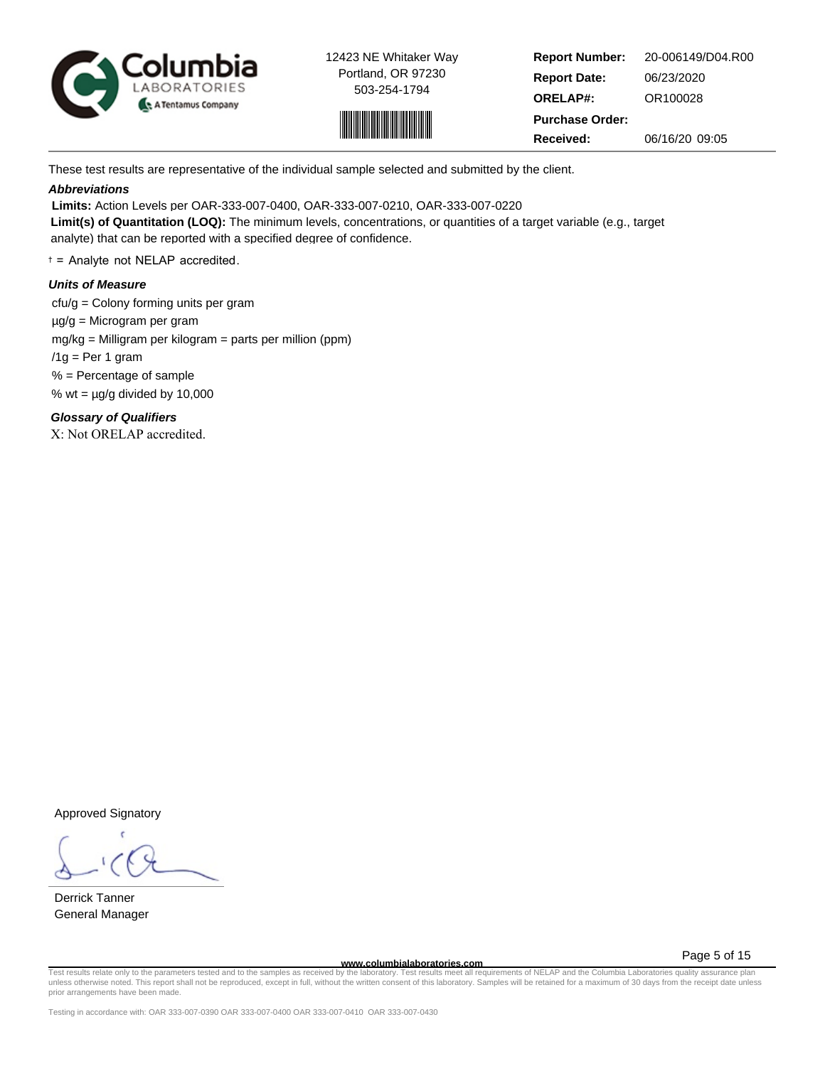



**Report Number: Report Date: ORELAP#:** 06/23/2020 OR100028 **Received:** 06/16/20 09:05 **Purchase Order:** 20-006149/D04.R00

These test results are representative of the individual sample selected and submitted by the client.

## **Abbreviations**

 **Limits:** Action Levels per OAR-333-007-0400, OAR-333-007-0210, OAR-333-007-0220

**Limit(s) of Quantitation (LOQ):** The minimum levels, concentrations, or quantities of a target variable (e.g., target analyte) that can be reported with a specified degree of confidence.

† = Analyte not NELAP accredited.

## **Units of Measure**

 cfu/g = Colony forming units per gram µg/g = Microgram per gram mg/kg = Milligram per kilogram = parts per million (ppm)  $/1q$  = Per 1 gram % = Percentage of sample % wt =  $\mu$ g/g divided by 10,000

**Glossary of Qualifiers**

X: Not ORELAP accredited.

Approved Signatory

Derrick Tanner General Manager

Page 5 of 15

www.columbialaboratories.com<br>Test results relate only to the parameters tested and to the samples as received by the laboratory. Test results meet all requirements of NELAP and the Columbia Laboratories quality assurance p unless otherwise noted. This report shall not be reproduced, except in full, without the written consent of this laboratory. Samples will be retained for a maximum of 30 days from the receipt date unless prior arrangements have been made.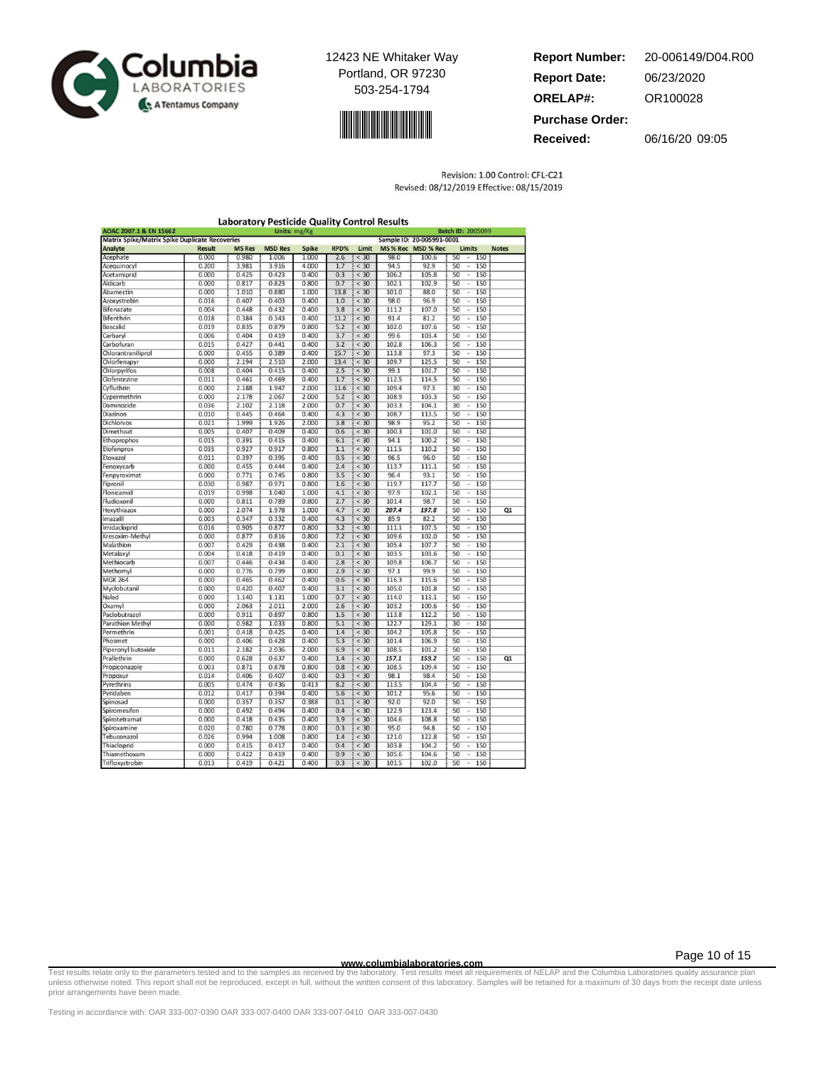



| <b>Report Number:</b>  | 20-006149/D04.R00 |
|------------------------|-------------------|
| <b>Report Date:</b>    | 06/23/2020        |
| <b>ORELAP#:</b>        | OR100028          |
| <b>Purchase Order:</b> |                   |
| Received:              | 06/16/20 09:05    |

Revision: 1.00 Control: CFL-C21 Revised: 08/12/2019 Effective: 08/15/2019

| AOAC 2007.1 & EN 15662                                |               |               | Units: mg/Kg   |              |      |        |       |                           | <b>Batch ID: 2005099</b>              |              |
|-------------------------------------------------------|---------------|---------------|----------------|--------------|------|--------|-------|---------------------------|---------------------------------------|--------------|
| <b>Matrix Spike/Matrix Spike Duplicate Recoveries</b> |               |               |                |              |      |        |       | Sample ID: 20-005991-0001 |                                       |              |
| Analyte                                               | <b>Result</b> | <b>MS Res</b> | <b>MSD Res</b> | <b>Spike</b> | RPD% | Limit  |       | MS% Rec MSD % Rec         | Limits                                | <b>Notes</b> |
| Acephate                                              | 0.000         | 0.980         | 1.006          | 1.000        | 2.6  | < 30   | 98.0  | 100.6                     | 50<br>150<br>$\overline{\phantom{a}}$ |              |
| Acequinocyl                                           | 0.200         | 3.981         | 3.916          | 4.000        | 1.7  | < 30   | 94.5  | 92.9                      | 50<br>150<br>÷                        |              |
| Acetamiprid                                           | 0.000         | 0.425         | 0.423          | 0.400        | 0.3  | < 30   | 106.2 | 105.8                     | 50<br>150<br>ä,                       |              |
| Aldicarb                                              | 0.000         | 0.817         | 0.823          | 0.800        | 0.7  | $<$ 30 | 102.1 | 102.9                     | 50<br>150<br>i,                       |              |
| Abamectin                                             | 0.000         | 1.010         | 0.880          | 1.000        | 13.8 | < 30   | 101.0 | 88.0                      | 150<br>50<br>$\overline{\phantom{a}}$ |              |
| Azoxystrobin                                          | 0.016         | 0.407         | 0.403          | 0.400        | 1.0  | $<$ 30 | 98.0  | 96.9                      | 50<br>150<br>ı.                       |              |
| Bifenazate                                            | 0.004         | 0.448         | 0.432          | 0.400        | 3.8  | < 30   | 111.2 | 107.0                     | 50<br>150<br>$\overline{\phantom{a}}$ |              |
| Bifenthrin                                            | 0.018         | 0.384         | 0.343          | 0.400        | 11.2 | $<$ 30 | 91.4  | 81.2                      | 50<br>150<br>$\overline{\phantom{a}}$ |              |
| Boscalid                                              | 0.019         | 0.835         | 0.879          | 0.800        | 5.2  | < 30   | 102.0 | 107.6                     | 50<br>150<br>ä,                       |              |
| Carbaryl                                              | 0.006         | 0.404         | 0.419          | 0.400        | 3.7  | < 30   | 99.6  | 103.4                     | 50<br>150<br>ä,                       |              |
| Carbofuran                                            | 0.015         | 0.427         | 0.441          | 0.400        | 3.2  | < 30   | 102.8 | 106.3                     | 50<br>150<br>$\overline{\phantom{a}}$ |              |
| Chlorantraniliprol                                    | 0.000         | 0.455         | 0.389          | 0.400        | 15.7 | < 30   | 113.8 | 97.3                      | 50<br>150<br>×,                       |              |
| Chlorfenapyr                                          | 0.000         | 2.194         | 2.510          | 2.000        | 13.4 | < 30   | 109.7 | 125.5                     | 50<br>150<br>i,                       |              |
| Chlorpyrifos                                          | 0.008         | 0.404         | 0.415          | 0.400        | 2.5  | < 30   | 99.1  | 101.7                     | 50<br>150<br>$\overline{\phantom{a}}$ |              |
| Clofentezine                                          | 0.011         | 0.461         | 0.469          | 0.400        | 1.7  | < 30   | 112.5 | 114.5                     | 50<br>150<br>Ţ                        |              |
| Cyfluthrin                                            | 0.000         | 2.188         | 1.947          | 2.000        | 11.6 | $<$ 30 | 109.4 | 97.3                      | 30<br>150                             |              |
| Cypermethrin                                          | 0.000         | 2.178         | 2.067          | 2.000        | 5.2  | < 30   | 108.9 | 103.3                     | 50<br>150<br>$\overline{\phantom{a}}$ |              |
| Daminozide                                            | 0.036         | 2.102         | 2.118          | 2.000        | 0.7  | $<$ 30 | 103.3 | 104.1                     | 30<br>150<br>i,                       |              |
| Diazinon                                              | 0.010         | 0.445         | 0.464          | 0.400        | 4.3  | < 30   | 108.7 | 113.5                     | 50<br>150<br>i,                       |              |
| Dichlorvos                                            | 0.021         | 1.999         | 1.926          | 2.000        | 3.8  | $<$ 30 | 98.9  | 95.2                      | 50<br>150<br>$\overline{a}$           |              |
| Dimethoat                                             | 0.005         | 0.407         | 0.409          | 0.400        | 0.6  | < 30   | 100.3 | 101.0                     | 50<br>150<br>ı,                       |              |
| Ethoprophos                                           | 0.015         | 0.391         | 0.415          | 0.400        | 6.1  | < 30   | 94.1  | 100.2                     | 50<br>150<br>$\frac{1}{2}$            |              |
| Etofenprox                                            | 0.035         | 0.927         | 0.917          | 0.800        | 1.1  | < 30   | 111.5 | 110.2                     | 50<br>150<br>×                        |              |
| Etoxazol                                              | 0.011         | 0.397         | 0.395          | 0.400        | 0.5  | < 30   | 96.5  | 96.0                      | 50<br>150<br>i,                       |              |
| Fenoxycarb                                            | 0.000         | 0.455         | 0.444          | 0.400        | 2.4  | < 30   | 113.7 | 111.1                     | 50<br>150<br>$\overline{\phantom{a}}$ |              |
| Fenpyroximat                                          | 0.000         | 0.771         | 0.745          | 0.800        | 3.5  | < 30   | 96.4  | 93.1                      | 50<br>150<br>×,                       |              |
| Fipronil                                              | 0.030         | 0.987         | 0.971          | 0.800        | 1.6  | $<$ 30 | 119.7 | 117.7                     | 50<br>150                             |              |
| Flonicamid                                            | 0.019         | 0.998         | 1.040          | 1.000        | 4.1  | < 30   | 97.9  | 102.1                     | 50<br>150<br>$\epsilon$               |              |
| Fludioxonil                                           | 0.000         | 0.811         | 0.789          | 0.800        | 2.7  | $<$ 30 | 101.4 | 98.7                      | 50<br>150<br>ı.                       |              |
| Hexythiazox                                           | 0.000         | 2.074         | 1.978          | 1.000        | 4.7  | < 30   | 207.4 | 197.8                     | 50<br>150<br>$\blacksquare$           | Q1           |
| Imazalil                                              | 0.003         | 0.347         | 0.332          | 0.400        | 4.3  | < 30   | 85.9  | 82.2                      | 50<br>150<br>ä,                       |              |
| Imidacloprid                                          | 0.016         | 0.905         | 0.877          | 0.800        | 3.2  | $<$ 30 | 111.1 | 107.5                     | 50<br>150<br>٠                        |              |
| Kresoxim-Methyl                                       | 0.000         | 0.877         | 0.816          | 0.800        | 7.2  | < 30   | 109.6 | 102.0                     | 150<br>50<br>ı.                       |              |
| Malathion                                             | 0.007         | 0.429         | 0.438          | 0.400        | 2.1  | < 30   | 105.4 | 107.7                     | 50<br>150<br>$\overline{a}$           |              |
| Metalaxyl                                             | 0.004         | 0.418         | 0.419          | 0.400        | 0.1  | < 30   | 103.5 | 103.6                     | 50<br>150<br>ä,                       |              |
| Methiocarb                                            | 0.007         | 0.446         | 0.434          | 0.400        | 2.8  | $<$ 30 | 109.8 | 106.7                     | 50<br>150<br>÷                        |              |
| Methomyl                                              | 0.000         | 0.776         | 0.799          | 0.800        | 2.9  | < 30   | 97.1  | 99.9                      | 50<br>150<br>$\overline{\phantom{a}}$ |              |
| <b>MGK 264</b>                                        | 0.000         | 0.465         | 0.462          | 0.400        | 0.6  | < 30   | 116.3 | 115.6                     | 50<br>150                             |              |
| Myclobutanil                                          | 0.000         | 0.420         | 0.407          | 0.400        | 3.1  | < 30   | 105.0 | 101.8                     | 50<br>150                             |              |
| Naled                                                 | 0.000         | 1.140         | 1.131          | 1.000        | 0.7  | < 30   | 114.0 | 113.1                     | 50<br>150<br>٠                        |              |
| Oxamyl                                                | 0.000         | 2.063         | 2.011          | 2.000        | 2.6  | < 30   | 103.2 | 100.6                     | 50<br>Ξ<br>150                        |              |
| Paclobutrazol                                         | 0.000         | 0.911         | 0.897          | 0.800        | 1.5  | < 30   | 113.8 | 112.2                     | 50<br>150                             |              |
| Parathion Methyl                                      | 0.000         | 0.982         | 1.033          | 0.800        | 5.1  | < 30   | 122.7 | 129.1                     | 30<br>150<br>$\overline{\phantom{a}}$ |              |
| Permethrin                                            | 0.001         | 0.418         | 0.425          | 0.400        | 1.4  | < 30   | 104.2 | 105.8                     | 50<br>150                             |              |
| Phosmet                                               | 0.000         | 0.406         | 0.428          | 0.400        | 5.3  | < 30   | 101.4 | 106.9                     | 50<br>150<br>ï                        |              |
| Piperonyl butoxide                                    | 0.011         | 2.182         | 2.036          | 2.000        | 6.9  | < 30   | 108.5 | 101.2                     | 50<br>150                             |              |
| Prallethrin                                           | 0.000         | 0.628         | 0.637          | 0.400        | 1.4  | < 30   | 157.1 | 159.2                     | 50<br>150<br>÷,                       | Q1           |
| Propiconazole                                         | 0.003         | 0.871         | 0.878          | 0.800        | 0.8  | < 30   | 108.5 | 109.4                     | 50<br>150<br>÷                        |              |
| Propoxur                                              | 0.014         | 0.406         | 0.407          | 0.400        | 0.3  | $<$ 30 | 98.1  | 98.4                      | 50<br>150<br>ä,                       |              |
| Pyrethrins                                            | 0.005         | 0.474         | 0.436          | 0.413        | 8.2  | $<$ 30 | 113.5 | 104.4                     | 50<br>150                             |              |
| Pyridaben                                             | 0.012         | 0.417         | 0.394          | 0.400        | 5.6  | < 30   | 101.2 | 95.6                      | 50<br>150<br>$\overline{\phantom{a}}$ |              |
| Spinosad                                              | 0.000         | 0.357         | 0.357          | 0.388        | 0.1  | $<$ 30 | 92.0  | 92.0                      | 50<br>150<br>ı.                       |              |
| Spiromesifen                                          | 0.000         | 0.492         | 0.494          | 0.400        | 0.4  | < 30   | 122.9 | 123.4                     | 50<br>150<br>٠                        |              |
| Spirotetramat                                         | 0.000         | 0.418         | 0.435          | 0.400        | 3.9  | < 30   | 104.6 | 108.8                     | 50<br>150<br>ä                        |              |
| Spiroxamine                                           | 0.020         | 0.780         | 0.778          | 0.800        | 0.3  | < 30   | 95.0  | 94.8                      | 50<br>150<br>٠                        |              |
| Tebuconazol                                           | 0.026         | 0.994         | 1.008          | 0.800        | 1.4  | < 30   | 121.0 | 122.8                     | 150<br>50<br>٠                        |              |
|                                                       | 0.000         | 0.415         | 0.417          | 0.400        | 0.4  | < 30   | 103.8 | 104.2                     | 50<br>150                             |              |
| Thiacloprid<br>Thiamethoxam                           | 0.000         | 0.422         | 0.419          | 0.400        | 0.9  | < 30   | 105.6 | 104.6                     | ٠<br>50<br>150                        |              |
|                                                       |               |               |                |              |      |        |       |                           |                                       |              |
| Trifloxystrobin                                       | 0.013         | 0.419         | 0.421          | 0.400        | 0.3  | < 30   | 101.5 | 102.0                     | 50<br>150<br>ä,                       |              |

Page 10 of 15

www.columbialaboratories.com<br>Test requirements of NELAP and the Columbia Laboratories quarance plan and the Columbia Laboratories quarance plan<br>unless otherwise noted. This report shall not be reproduced, except in full, w prior arrangements have been made.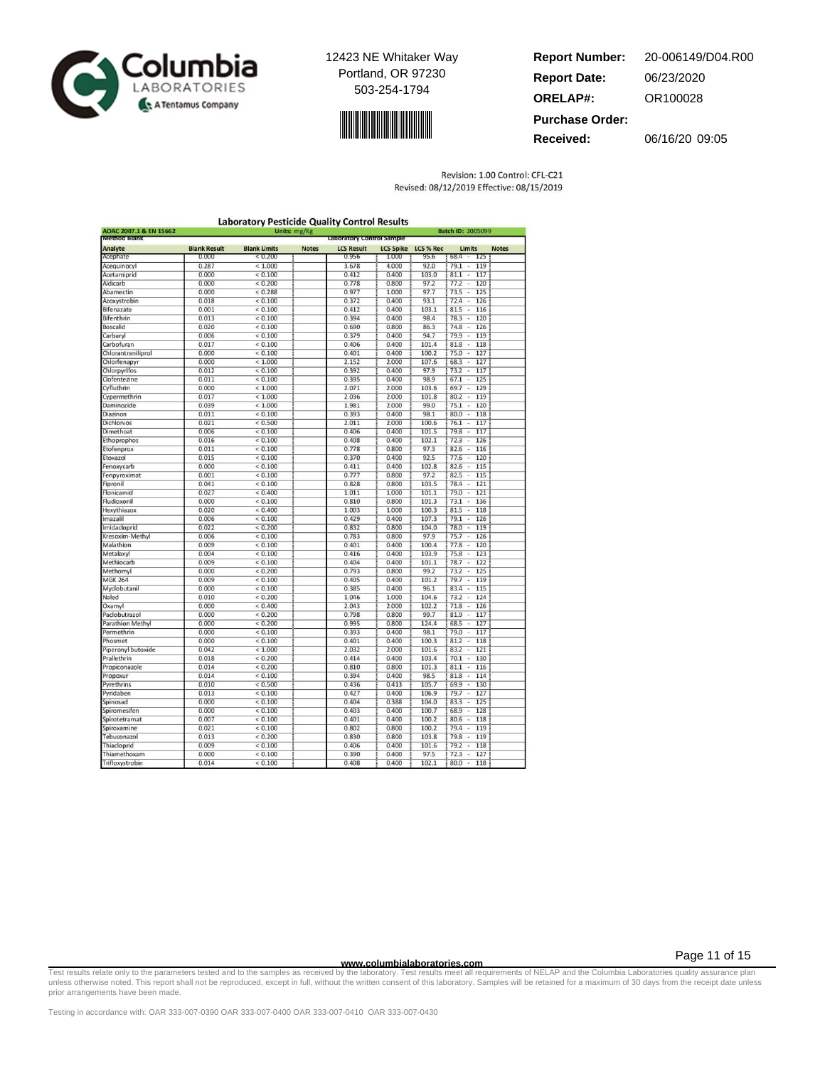



**Report Number: Report Date: ORELAP#:** 06/23/2020 OR100028 **Received:** 06/16/20 09:05 **Purchase Order:** 20-006149/D04.R00

Revision: 1.00 Control: CFL-C21

|                                               |                     | <b>Laboratory Pesticide Quality Control Results</b> |                           |                   |                  |           |                                             |              |  |
|-----------------------------------------------|---------------------|-----------------------------------------------------|---------------------------|-------------------|------------------|-----------|---------------------------------------------|--------------|--|
| AOAC 2007.1 & EN 15662<br><b>Method Blank</b> |                     | Units: mg/Kg                                        | Laboratory Control Sample | Batch ID: 2005099 |                  |           |                                             |              |  |
| Analyte                                       | <b>Blank Result</b> | <b>Blank Limits</b>                                 | <b>Notes</b>              | <b>LCS Result</b> | <b>LCS Spike</b> | LCS % Rec | <b>Limits</b>                               | <b>Notes</b> |  |
| Acephate                                      | 0.000               | < 0.200                                             |                           | 0.956             | 1.000            | 95.6      | 68.4<br>125                                 |              |  |
| Acequinocyl                                   | 0.287               | < 1.000                                             |                           | 3.678             | 4.000            | 92.0      | 119<br>79.1<br>$\overline{\phantom{a}}$     |              |  |
| Acetamiprid                                   | 0.000               | ${}< 0.100$                                         |                           | 0.412             | 0.400            | 103.0     | $81.1 -$<br>117                             |              |  |
| Aldicarb                                      | 0.000               | ${}< 0.200$                                         |                           | 0.778             | 0.800            | 97.2      | 77.2<br>120<br>$\ddot{\phantom{0}}$         |              |  |
| Abamectin                                     | 0.000               | < 0.288                                             |                           | 0.977             | 1.000            | 97.7      | 73.5<br>125<br>٠                            |              |  |
| Azoxystrobin                                  | 0.018               | ${}< 0.100$                                         |                           | 0.372             | 0.400            | 93.1      | 72.4<br>126<br>÷                            |              |  |
| Bifenazate                                    | 0.001               | ${}< 0.100$                                         |                           | 0.412             | 0.400            | 103.1     | 81.5<br>116<br>$\overline{\phantom{a}}$     |              |  |
| Bifenthrin                                    | 0.013               | ${}< 0.100$                                         |                           | 0.394             | 0.400            | 98.4      | 78.3<br>÷,<br>120                           |              |  |
| Boscalid                                      | 0.020               | ${}< 0.100$                                         |                           | 0.690             | 0.800            | 86.3      | 74.8<br>126<br>$\overline{\phantom{a}}$     |              |  |
| Carbaryl                                      | 0.006               | < 0.100                                             |                           | 0.379             | 0.400            | 94.7      | 79.9<br>119<br>$\epsilon$                   |              |  |
| Carbofuran                                    | 0.017               | < 0.100                                             |                           | 0.406             | 0.400            | 101.4     | 118<br>81.8<br>τ                            |              |  |
| Chlorantraniliprol                            | 0.000               | ${}< 0.100$                                         |                           | 0.401             | 0.400            | 100.2     | 75.0<br>127<br>×                            |              |  |
| Chlorfenapyr                                  | 0.000               | < 1.000                                             |                           | 2.152             | 2.000            | 107.6     | 68.3<br>127<br>$\overline{\phantom{a}}$     |              |  |
| Chlorpyrifos                                  | 0.012               | ${}< 0.100$                                         |                           | 0.392             | 0.400            | 97.9      | 73.2<br>117                                 |              |  |
| <b>Clofentezine</b>                           | 0.011               | ${}< 0.100$                                         |                           | 0.395             | 0.400            | 98.9      | 67.1<br>125<br>$\overline{\phantom{a}}$     |              |  |
| Cyfluthrin                                    | 0.000               | < 1.000                                             |                           | 2.071             | 2.000            | 103.6     | 69.7<br>129<br>$\bar{a}$                    |              |  |
| Cypermethrin                                  | 0.017               | < 1.000                                             |                           | 2.036             | 2.000            | 101.8     | 119<br>80.2<br>$\overline{\phantom{a}}$     |              |  |
| Daminozide                                    | 0.039               | < 1.000                                             |                           | 1.981             | 2.000            | 99.0      | 75.1<br>120<br>$\overline{\phantom{a}}$     |              |  |
| Diazinon                                      | 0.011               | ${}< 0.100$                                         |                           | 0.393             | 0.400            | 98.1      | 80.0<br>118<br>u,                           |              |  |
| Dichlorvos                                    | 0.021               | ${}< 0.500$                                         |                           | 2.011             | 2.000            | 100.6     | $76.1 -$<br>117                             |              |  |
| Dimethoat                                     | 0.006               | < 0.100                                             |                           | 0.406             | 0.400            | 101.5     | 79.8<br>117<br>$\overline{\phantom{a}}$     |              |  |
| Ethoprophos                                   | 0.016               | < 0.100                                             |                           | 0.408             | 0.400            | 102.1     | 72.3<br>126<br>τ                            |              |  |
| Etofenprox                                    | 0.011               | ${}< 0.100$                                         |                           | 0.778             | 0.800            | 97.3      | 82.6<br>116<br>×                            |              |  |
| Etoxazol                                      | 0.015               | ${}< 0.100$                                         |                           | 0.370             | 0.400            | 92.5      | 77.6<br>120<br>$\overline{\phantom{a}}$     |              |  |
| Fenoxycarb                                    | 0.000               | ${}< 0.100$                                         |                           | 0.411             | 0.400            | 102.8     | 82.6<br>115<br>τ                            |              |  |
| Fenpyroximat                                  | 0.001               | < 0.100                                             |                           | 0.777             | 0.800            | 97.2      | 82.5<br>115<br>$\overline{\phantom{a}}$     |              |  |
| Fipronil                                      | 0.041               | ${}< 0.100$                                         |                           | 0.828             | 0.800            | 103.5     | 78.4<br>121<br>$\overline{\phantom{a}}$     |              |  |
| Flonicamid                                    | 0.027               | < 0.400                                             |                           | 1.011             | 1.000            | 101.1     | 79.0<br>121                                 |              |  |
| Fludioxonil                                   | 0.000               | < 0.100                                             |                           | 0.810             | 0.800            | 101.3     | 73.1<br>136<br>$\overline{\phantom{a}}$     |              |  |
| Hexythiazox                                   | 0.020               | ${}< 0.400$                                         |                           | 1.003             | 1.000            | 100.3     | 81.5<br>118<br>٠                            |              |  |
| Imazalil                                      | 0.006               | ${}< 0.100$                                         |                           | 0.429             | 0.400            | 107.3     | $79.1 -$<br>126                             |              |  |
| Imidacloprid                                  | 0.022               | ${}< 0.200$                                         |                           | 0.832             | 0.800            | 104.0     | 78.0<br>119<br>$\overline{\phantom{a}}$     |              |  |
| Kresoxim-Methyl                               | 0.006               | < 0.100                                             |                           | 0.783             | 0.800            | 97.9      | 75.7<br>126<br>×,                           |              |  |
| Malathion                                     | 0.009               | ${}< 0.100$                                         |                           | 0.401             | 0.400            | 100.4     | 77.8<br>120<br>×                            |              |  |
| Metalaxyl                                     | 0.004               | < 0.100                                             |                           | 0.416             | 0.400            | 103.9     | 75.8<br>123<br>$\hat{\phantom{a}}$          |              |  |
| Methiocarb                                    | 0.009               | ${}< 0.100$                                         |                           | 0.404             | 0.400            | 101.1     | 78.7<br>τ<br>122                            |              |  |
| Methomyl                                      | 0.000               | ${}< 0.200$                                         |                           | 0.793             | 0.800            | 99.2      | 73.2<br>٠<br>125                            |              |  |
| <b>MGK 264</b>                                | 0.009               | < 0.100                                             |                           | 0.405             | 0.400            | 101.2     | 79.7<br>119<br>$\overline{\phantom{a}}$     |              |  |
| Myclobutanil                                  | 0.000               | < 0.100                                             |                           | 0.385             | 0.400            | 96.1      | 83.4<br>115                                 |              |  |
| Naled                                         | 0.010               | ${}< 0.200$                                         |                           | 1.046             | 1.000            | 104.6     | 73.2<br>124<br>$\overline{a}$               |              |  |
| Oxamyl                                        | 0.000               | ${}< 0.400$                                         |                           | 2.043             | 2.000            | 102.2     | 71.8<br>126<br>٠                            |              |  |
| Paclobutrazol                                 | 0.000               | ${}< 0.200$                                         |                           | 0.798             | 0.800            | 99.7      | 81.9<br>117<br>$\overline{\phantom{a}}$     |              |  |
| <b>Parathion Methyl</b>                       | 0.000               | ${}< 0.200$                                         |                           | 0.995             | 0.800            | 124.4     | 68.5<br>127<br>$\overline{\phantom{a}}$     |              |  |
| Permethrin                                    | 0.000               | < 0.100                                             |                           | 0.393             | 0.400            | 98.1      | 79.0<br>117<br>٠                            |              |  |
| Phosmet                                       | 0.000               | ${}< 0.100$                                         |                           | 0.401             | 0.400            | 100.3     | 81.2<br>118<br>ī,                           |              |  |
| Piperonyl butoxide                            | 0.042               | < 1.000                                             |                           | 2.032             | 2.000            | 101.6     | 83.2<br>121<br>$\overline{\phantom{a}}$     |              |  |
| Prallethrin                                   | 0.018               | ${}< 0.200$                                         |                           | 0.414             | 0.400            | 103.4     | 70.1<br>٠.<br>130                           |              |  |
| Propiconazole                                 | 0.014               | ${}< 0.200$                                         |                           | 0.810             | 0.800            | 101.3     | 81.1<br>Ξ<br>116                            |              |  |
| Propoxur                                      | 0.014               | < 0.100                                             |                           | 0.394             | 0.400            | 98.5      | 81.8<br>114<br>$\overline{\phantom{a}}$     |              |  |
| Pyrethrins                                    | 0.010               | ${}< 0.500$                                         |                           | 0.436             | 0.413            | 105.7     | 69.9<br>130                                 |              |  |
| Pyridaben                                     | 0.013               | ${}< 0.100$                                         |                           | 0.427             | 0.400            | 106.9     | 79.7<br>127<br>$\overline{\phantom{a}}$     |              |  |
| Spinosad                                      | 0.000               | ${}< 0.100$                                         |                           | 0.404             | 0.388            | 104.0     | 83.3<br>٠<br>125                            |              |  |
| Spiromesifen                                  | 0.000               | ${}< 0.100$                                         |                           | 0.403             | 0.400            | 100.7     | 68.9<br>128<br>$\overline{\phantom{a}}$     |              |  |
| Spirotetramat                                 | 0.007               | < 0.100                                             |                           | 0.401             | 0.400            | 100.2     | 80.6<br>118                                 |              |  |
| Spiroxamine                                   | 0.021               | < 0.100                                             |                           | 0.802             | 0.800            | 100.2     | $\overline{\phantom{a}}$<br>79.4<br>119     |              |  |
| Tebuconazol                                   | 0.013               | < 0.200                                             |                           | 0.830             | 0.800            | 103.8     | 79.8<br>119                                 |              |  |
|                                               | 0.009               | ${}< 0.100$                                         |                           | 0.406             | 0.400            | 101.6     | i,<br>79.2<br>118                           |              |  |
| Thiacloprid<br>Thiamethoxam                   | 0.000               | ${}< 0.100$                                         |                           | 0.390             | 0.400            | 97.5      | $\overline{\phantom{a}}$<br>$72.3 -$<br>127 |              |  |
|                                               |                     |                                                     |                           |                   |                  |           |                                             |              |  |
| Trifloxystrobin                               | 0.014               | ${}< 0.100$                                         |                           | 0.408             | 0.400            | 102.1     | $80.0 -$<br>118                             |              |  |

Revised: 08/12/2019 Effective: 08/15/2019

Page 11 of 15

www.columbialaboratories.com<br>Test requirements of NELAP and the Columbia Laboratories quality assurance plan<br>unless otherwise noted. This report shall not be reproduced, except in full, without the written consent of this prior arrangements have been made.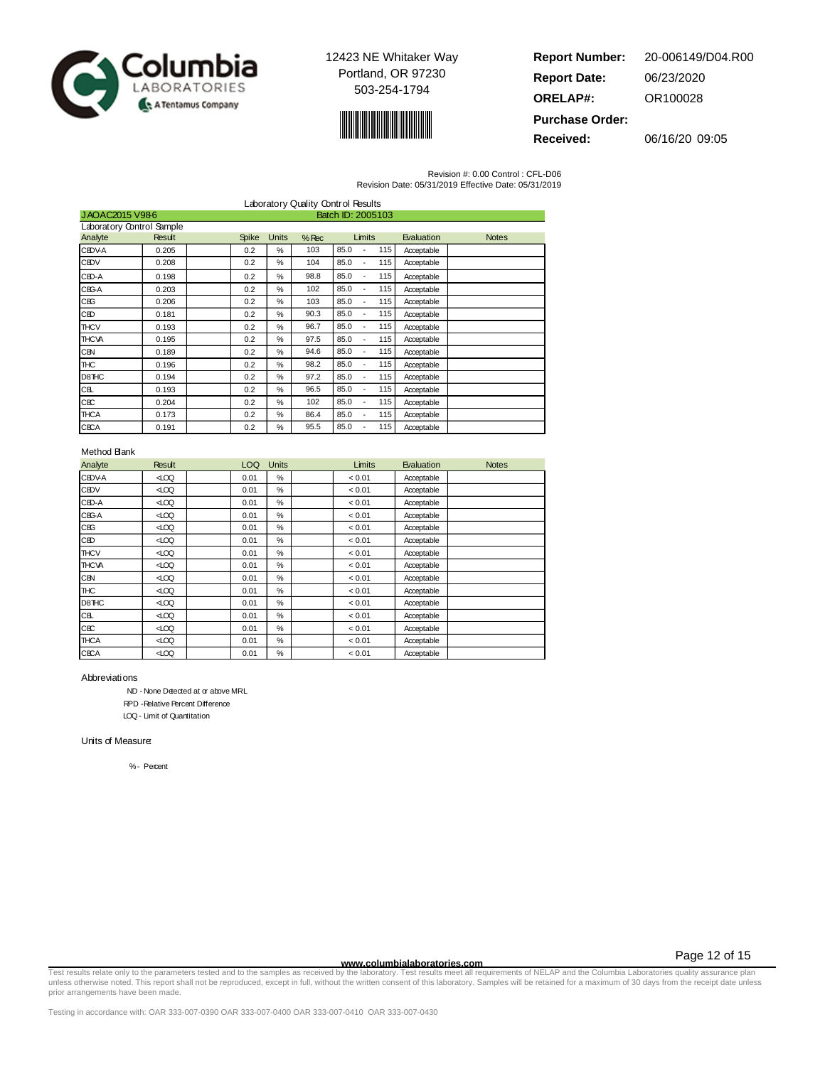



| <b>Report Number:</b>  | 20-006149/D04.R00 |
|------------------------|-------------------|
| <b>Report Date:</b>    | 06/23/2020        |
| <b>ORELAP#:</b>        | OR100028          |
| <b>Purchase Order:</b> |                   |

**Received:** 06/16/20 09:05

Revision #: 0.00 Control : CFL-D06

| Revision Date: 05/31/2019 Effective Date: 05/31/2019 |  |
|------------------------------------------------------|--|
|------------------------------------------------------|--|

|                                     | Laboratory Quality Control Results |  |              |               |         |            |     |            |              |
|-------------------------------------|------------------------------------|--|--------------|---------------|---------|------------|-----|------------|--------------|
| JAOAC2015 V986<br>Batch ID: 2005103 |                                    |  |              |               |         |            |     |            |              |
| Laboratory Control Sample           |                                    |  |              |               |         |            |     |            |              |
| Analyte                             | Result                             |  | <b>Spike</b> | <b>Units</b>  | $%$ Rec | Limits     |     | Evaluation | <b>Notes</b> |
| <b>CEDVA</b>                        | 0.205                              |  | 0.2          | %             | 103     | 85.0       | 115 | Acceptable |              |
| <b>CEDV</b>                         | 0.208                              |  | 0.2          | %             | 104     | 85.0       | 115 | Acceptable |              |
| CED-A                               | 0.198                              |  | 0.2          | %             | 98.8    | 85.0       | 115 | Acceptable |              |
| CBG-A                               | 0.203                              |  | 0.2          | %             | 102     | 85.0       | 115 | Acceptable |              |
| CEG                                 | 0.206                              |  | 0.2          | %             | 103     | 85.0       | 115 | Acceptable |              |
| CED                                 | 0.181                              |  | 0.2          | $\frac{0}{2}$ | 90.3    | 85.0       | 115 | Acceptable |              |
| <b>THCV</b>                         | 0.193                              |  | 0.2          | $\frac{0}{2}$ | 96.7    | 85.0       | 115 | Acceptable |              |
| <b>THCVA</b>                        | 0.195                              |  | 0.2          | $\frac{0}{2}$ | 97.5    | 85.0       | 115 | Acceptable |              |
| CBN                                 | 0.189                              |  | 0.2          | %             | 94.6    | 85.0<br>٠  | 115 | Acceptable |              |
| <b>THC</b>                          | 0.196                              |  | 0.2          | %             | 98.2    | 85.0<br>٠  | 115 | Acceptable |              |
| D8THC                               | 0.194                              |  | 0.2          | $\frac{0}{2}$ | 97.2    | 85.0<br>÷, | 115 | Acceptable |              |
| CB.                                 | 0.193                              |  | 0.2          | $\frac{0}{2}$ | 96.5    | 85.0<br>÷, | 115 | Acceptable |              |
| CЕC                                 | 0.204                              |  | 0.2          | %             | 102     | 85.0<br>٠  | 115 | Acceptable |              |
| <b>THCA</b>                         | 0.173                              |  | 0.2          | %             | 86.4    | 85.0       | 115 | Acceptable |              |
| <b>CECA</b>                         | 0.191                              |  | 0.2          | %             | 95.5    | 85.0       | 115 | Acceptable |              |

#### Method Blank

| Analyte       | <b>Result</b> | LOQ  | <b>Units</b>  | Limits | Evaluation | <b>Notes</b> |
|---------------|---------------|------|---------------|--------|------------|--------------|
| <b>CEDV-A</b> | 400           | 0.01 | %             | < 0.01 | Acceptable |              |
| <b>CEDV</b>   | 400           | 0.01 | $\frac{0}{2}$ | < 0.01 | Acceptable |              |
| CED-A         | 400           | 0.01 | %             | < 0.01 | Acceptable |              |
| CBG-A         | 400           | 0.01 | %             | < 0.01 | Acceptable |              |
| CEG           | 400           | 0.01 | %             | < 0.01 | Acceptable |              |
| CED           | 400           | 0.01 | %             | < 0.01 | Acceptable |              |
| <b>THCV</b>   | 400           | 0.01 | %             | < 0.01 | Acceptable |              |
| <b>THCVA</b>  | 400           | 0.01 | $\frac{0}{0}$ | < 0.01 | Acceptable |              |
| CBN           | 400           | 0.01 | %             | < 0.01 | Acceptable |              |
| <b>THC</b>    | 400           | 0.01 | $\frac{0}{2}$ | < 0.01 | Acceptable |              |
| D8THC         | 400           | 0.01 | %             | < 0.01 | Acceptable |              |
| CBL.          | 400           | 0.01 | %             | < 0.01 | Acceptable |              |
| <b>CBC</b>    | 400           | 0.01 | %             | < 0.01 | Acceptable |              |
| <b>THCA</b>   | 400           | 0.01 | %             | < 0.01 | Acceptable |              |
| <b>CECA</b>   | 400           | 0.01 | %             | < 0.01 | Acceptable |              |

#### Abbreviations

ND - None Detected at or above MRL

RPD -Relative Percent Difference

LOQ - Limit of Quantitation

#### Units of Measure:

% - Percent

www.columbialaboratories.com<br>Test requirements of NELAP and the Columbia Laboratories quarance plan and the Columbia Laboratories quarance plan<br>unless otherwise noted. This report shall not be reproduced, except in full, w prior arrangements have been made.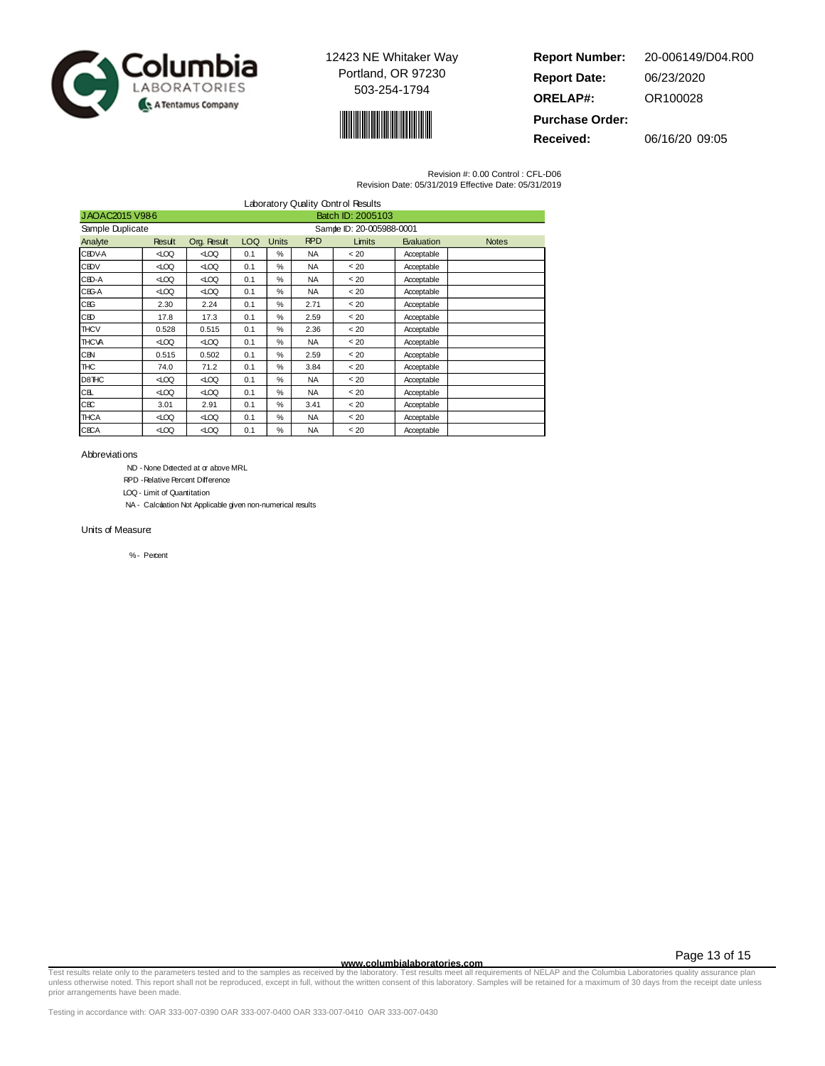



| <b>Report Number:</b>  | 20-006149/D04.R00 |
|------------------------|-------------------|
| <b>Report Date:</b>    | 06/23/2020        |
| <b>ORELAP#:</b>        | OR100028          |
| <b>Purchase Order:</b> |                   |

**Received:** 06/16/20 09:05

Revision #: 0.00 Control : CFL-D06 Revision Date: 05/31/2019 Effective Date: 05/31/2019

| Laboratory Quality Control Results  |        |             |            |               |            |                           |            |              |  |
|-------------------------------------|--------|-------------|------------|---------------|------------|---------------------------|------------|--------------|--|
| JAOAC2015 V986<br>Batch ID: 2005103 |        |             |            |               |            |                           |            |              |  |
| Sample Duplicate                    |        |             |            |               |            | Sample ID: 20-005988-0001 |            |              |  |
| Analyte                             | Result | Org. Result | <b>LOQ</b> | <b>Units</b>  | <b>RPD</b> | Limits                    | Evaluation | <b>Notes</b> |  |
| <b>CEDVA</b>                        | 400    | 400         | 0.1        | %             | <b>NA</b>  | < 20                      | Acceptable |              |  |
| <b>CEDV</b>                         | 400    | 400         | 0.1        | %             | <b>NA</b>  | < 20                      | Acceptable |              |  |
| $CB0 - A$                           | 400    | √00         | 0.1        | %             | <b>NA</b>  | < 20                      | Acceptable |              |  |
| CBG-A                               | 400    | 400         | 0.1        | %             | <b>NA</b>  | < 20                      | Acceptable |              |  |
| CBG                                 | 2.30   | 2.24        | 0.1        | %             | 2.71       | < 20                      | Acceptable |              |  |
| CED                                 | 17.8   | 17.3        | 0.1        | $\frac{0}{2}$ | 2.59       | < 20                      | Acceptable |              |  |
| <b>THCV</b>                         | 0.528  | 0.515       | 0.1        | %             | 2.36       | < 20                      | Acceptable |              |  |
| <b>THCVA</b>                        | 400    | ⊲00         | 0.1        | $\frac{0}{2}$ | <b>NA</b>  | < 20                      | Acceptable |              |  |
| CBN                                 | 0.515  | 0.502       | 0.1        | %             | 2.59       | < 20                      | Acceptable |              |  |
| <b>THC</b>                          | 74.0   | 71.2        | 0.1        | %             | 3.84       | < 20                      | Acceptable |              |  |
| D8THC                               | 400    | √00         | 0.1        | %             | <b>NA</b>  | < 20                      | Acceptable |              |  |
| CB.                                 | 400    | √00         | 0.1        | %             | <b>NA</b>  | < 20                      | Acceptable |              |  |
| <b>CBC</b>                          | 3.01   | 2.91        | 0.1        | %             | 3.41       | < 20                      | Acceptable |              |  |
| <b>THCA</b>                         | 400    | ⊲00         | 0.1        | %             | <b>NA</b>  | < 20                      | Acceptable |              |  |
| <b>CECA</b>                         | 400    | 400         | 0.1        | %             | <b>NA</b>  | < 20                      | Acceptable |              |  |

Abbreviations

ND - None Detected at or above MRL

RPD -Relative Percent Difference

LOQ - Limit of Quantitation

NA - Calculation Not Applicable given non-numerical results

Units of Measure:

% - Percent

Page 13 of 15

www.columbialaboratories.com<br>Test requirements of NELAP and the Columbia Laboratories quarance plan<br>unless otherwise noted. This report shall not be reproduced, except in full, without the written consent of this laborator prior arrangements have been made.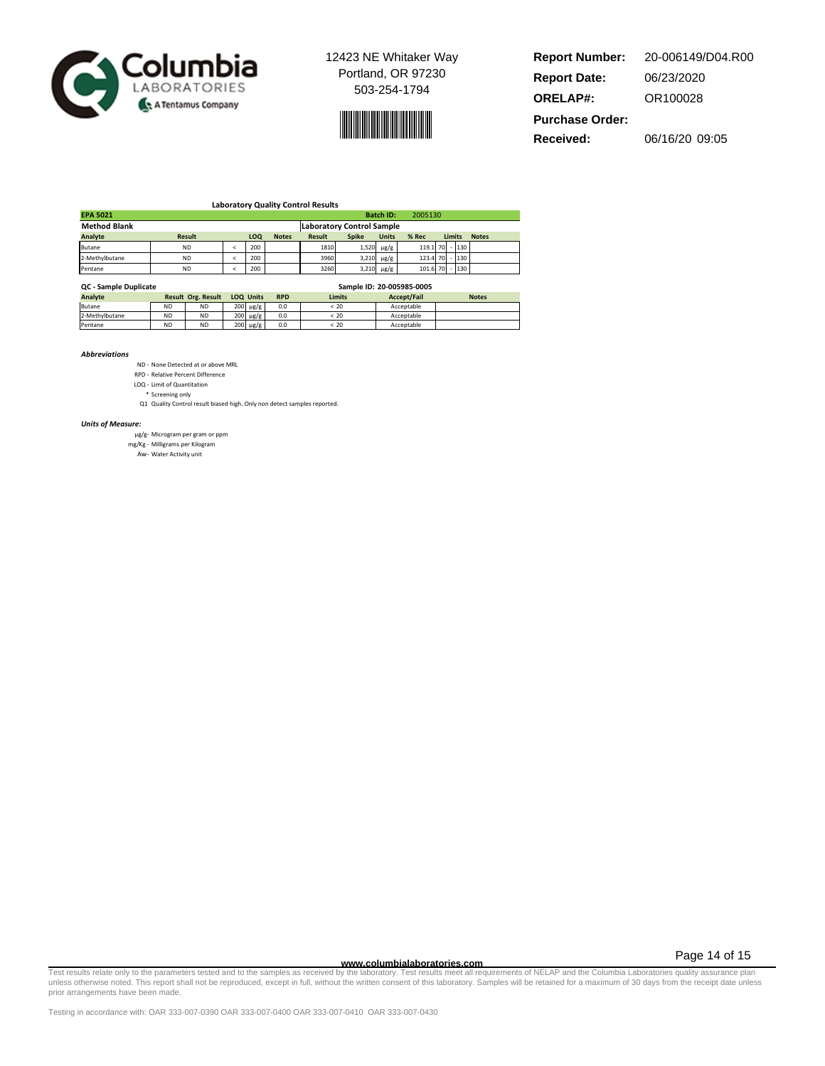



**Report Number: Report Date: ORELAP#:** 06/23/2020 OR100028 **Received:** 06/16/20 09:05 **Purchase Order:** 20-006149/D04.R00

| <b>Laboratory Quality Control Results</b>          |               |  |     |              |               |                                  |                               |                |        |     |              |
|----------------------------------------------------|---------------|--|-----|--------------|---------------|----------------------------------|-------------------------------|----------------|--------|-----|--------------|
| <b>EPA 5021</b>                                    |               |  |     |              |               |                                  | <b>Batch ID:</b>              | 2005130        |        |     |              |
| <b>Method Blank</b>                                |               |  |     |              |               | <b>Laboratory Control Sample</b> |                               |                |        |     |              |
| Analyte                                            | <b>Result</b> |  | LOQ | <b>Notes</b> | <b>Result</b> | <b>Spike</b>                     | <b>Units</b>                  | % Rec          | Limits |     | <b>Notes</b> |
| <b>Butane</b>                                      | <b>ND</b>     |  | 200 |              | 1810          |                                  | $1,520 \text{ }\mu\text{g/g}$ | 119.1 70       |        | 130 |              |
| 2-Methylbutane                                     | <b>ND</b>     |  | 200 |              | 3960          | 3,210                            | $\mu$ g/g                     | 123.4 70       |        | 130 |              |
| Pentane                                            | <b>ND</b>     |  | 200 |              | 3260          | $3,210 \mu g/g$                  |                               | 101.6 70 - 130 |        |     |              |
| Sample ID: 20-005985-0005<br>QC - Sample Duplicate |               |  |     |              |               |                                  |                               |                |        |     |              |

| <b>QC-Sample Duplicate</b> |                           | <b>Jampic ID. ZU-00JJUJ-000J</b> |  |                                |     |              |             |              |  |  |
|----------------------------|---------------------------|----------------------------------|--|--------------------------------|-----|--------------|-------------|--------------|--|--|
| Analyte                    | <b>Result Org. Result</b> |                                  |  | <b>LOQ Units</b><br><b>RPD</b> |     | Limits       | Accept/Fail | <b>Notes</b> |  |  |
| Butane                     | <b>ND</b>                 | <b>ND</b>                        |  | $200 \text{ }\mu\text{g/g}$    | 0.0 | .20          | Acceptable  |              |  |  |
| 2-Methylbutane             | <b>ND</b>                 | <b>ND</b>                        |  | $200 \text{ }\mu\text{g/g}$    | 0.0 | $\approx 20$ | Acceptable  |              |  |  |
| Pentane                    | <b>ND</b>                 | <b>ND</b>                        |  | $200 \text{ }\mu\text{g/g}$    | 0.0 | < 20         | Acceptable  |              |  |  |

**Abbreviations** 

ND - None Detected at or above MRL

RPD - Relative Percent Difference LOQ - Limit of Quantitation

\* Screening only

Q1 Quality Control result biased high. Only non detect samples reported.

Units of Measure:

μg/g- Microgram per gram or ppm mg/Kg - Milligrams per Kilogram

Aw- Water Activity unit

Page 14 of 15

www.columbialaboratories.com<br>Test requirements of NELAP and the Columbia Laboratories quality assurance plan<br>unless otherwise noted. This report shall not be reproduced, except in full, without the written consent of this prior arrangements have been made.